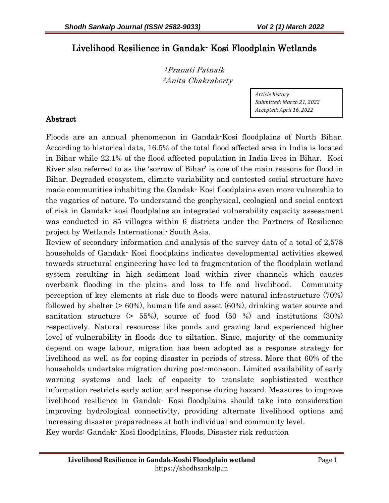# Livelihood Resilience in Gandak- Kosi Floodplain Wetlands

<sup>1</sup>Pranati Patnaik <sup>2</sup>Anita Chakraborty

> *Article history Submitted: March 21, 2022 Accepted: April 16, 2022*

# Abstract

Floods are an annual phenomenon in Gandak-Kosi floodplains of North Bihar. According to historical data, 16.5% of the total flood affected area in India is located in Bihar while 22.1% of the flood affected population in India lives in Bihar. Kosi River also referred to as the 'sorrow of Bihar' is one of the main reasons for flood in Bihar. Degraded ecosystem, climate variability and contested social structure have made communities inhabiting the Gandak- Kosi floodplains even more vulnerable to the vagaries of nature. To understand the geophysical, ecological and social context of risk in Gandak- kosi floodplains an integrated vulnerability capacity assessment was conducted in 85 villages within 6 districts under the Partners of Resilience project by Wetlands International- South Asia.

Review of secondary information and analysis of the survey data of a total of 2,578 households of Gandak- Kosi floodplains indicates developmental activities skewed towards structural engineering have led to fragmentation of the floodplain wetland system resulting in high sediment load within river channels which causes overbank flooding in the plains and loss to life and livelihood. Community perception of key elements at risk due to floods were natural infrastructure (70%) followed by shelter (> 60%), human life and asset (60%), drinking water source and sanitation structure  $(> 55\%)$ , source of food  $(50\%)$  and institutions  $(30\%)$ respectively. Natural resources like ponds and grazing land experienced higher level of vulnerability in floods due to siltation. Since, majority of the community depend on wage labour, migration has been adopted as a response strategy for livelihood as well as for coping disaster in periods of stress. More that 60% of the households undertake migration during post-monsoon. Limited availability of early warning systems and lack of capacity to translate sophisticated weather information restricts early action and response during hazard. Measures to improve livelihood resilience in Gandak- Kosi floodplains should take into consideration improving hydrological connectivity, providing alternate livelihood options and increasing disaster preparedness at both individual and community level. Key words: Gandak- Kosi floodplains, Floods, Disaster risk reduction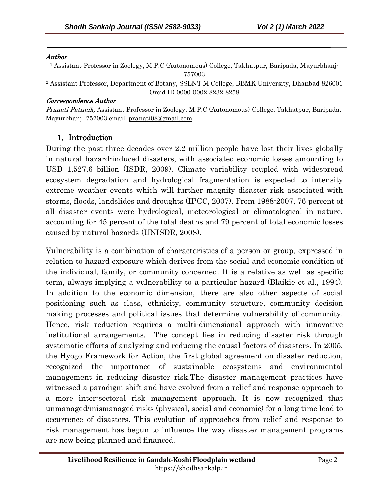#### Author

j

1 Assistant Professor in Zoology, M.P.C (Autonomous) College, Takhatpur, Baripada, Mayurbhanj-757003

<sup>2</sup> Assistant Professor, Department of Botany, SSLNT M College, BBMK University, Dhanbad-826001 Orcid ID 0000-0002-8232-8258

#### Correspondence Author

Pranati Patnaik, Assistant Professor in Zoology, M.P.C (Autonomous) College, Takhatpur, Baripada, Mayurbhanj- 757003 email: pranati08@gmail.com

#### 1. Introduction

During the past three decades over 2.2 million people have lost their lives globally in natural hazard-induced disasters, with associated economic losses amounting to USD 1,527.6 billion (ISDR, 2009). Climate variability coupled with widespread ecosystem degradation and hydrological fragmentation is expected to intensity extreme weather events which will further magnify disaster risk associated with storms, floods, landslides and droughts (IPCC, 2007). From 1988-2007, 76 percent of all disaster events were hydrological, meteorological or climatological in nature, accounting for 45 percent of the total deaths and 79 percent of total economic losses caused by natural hazards (UNISDR, 2008).

Vulnerability is a combination of characteristics of a person or group, expressed in relation to hazard exposure which derives from the social and economic condition of the individual, family, or community concerned. It is a relative as well as specific term, always implying a vulnerability to a particular hazard (Blaikie et al., 1994). In addition to the economic dimension, there are also other aspects of social positioning such as class, ethnicity, community structure, community decision making processes and political issues that determine vulnerability of community. Hence, risk reduction requires a multi-dimensional approach with innovative institutional arrangements. The concept lies in reducing disaster risk through systematic efforts of analyzing and reducing the causal factors of disasters. In 2005, the Hyogo Framework for Action, the first global agreement on disaster reduction, recognized the importance of sustainable ecosystems and environmental management in reducing disaster risk.The disaster management practices have witnessed a paradigm shift and have evolved from a relief and response approach to a more inter-sectoral risk management approach. It is now recognized that unmanaged/mismanaged risks (physical, social and economic) for a long time lead to occurrence of disasters. This evolution of approaches from relief and response to risk management has begun to influence the way disaster management programs are now being planned and financed.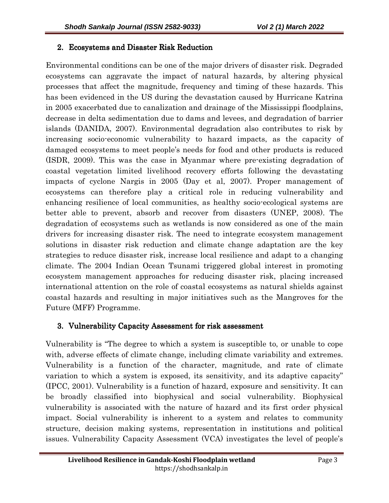## 2. Ecosystems and Disaster Risk Reduction

Environmental conditions can be one of the major drivers of disaster risk. Degraded ecosystems can aggravate the impact of natural hazards, by altering physical processes that affect the magnitude, frequency and timing of these hazards. This has been evidenced in the US during the devastation caused by Hurricane Katrina in 2005 exacerbated due to canalization and drainage of the Mississippi floodplains, decrease in delta sedimentation due to dams and levees, and degradation of barrier islands (DANIDA, 2007). Environmental degradation also contributes to risk by increasing socio-economic vulnerability to hazard impacts, as the capacity of damaged ecosystems to meet people's needs for food and other products is reduced (ISDR, 2009). This was the case in Myanmar where pre-existing degradation of coastal vegetation limited livelihood recovery efforts following the devastating impacts of cyclone Nargis in 2005 (Day et al, 2007). Proper management of ecosystems can therefore play a critical role in reducing vulnerability and enhancing resilience of local communities, as healthy socio-ecological systems are better able to prevent, absorb and recover from disasters (UNEP, 2008). The degradation of ecosystems such as wetlands is now considered as one of the main drivers for increasing disaster risk. The need to integrate ecosystem management solutions in disaster risk reduction and climate change adaptation are the key strategies to reduce disaster risk, increase local resilience and adapt to a changing climate. The 2004 Indian Ocean Tsunami triggered global interest in promoting ecosystem management approaches for reducing disaster risk, placing increased international attention on the role of coastal ecosystems as natural shields against coastal hazards and resulting in major initiatives such as the Mangroves for the Future (MFF) Programme.

## 3. Vulnerability Capacity Assessment for risk assessment

Vulnerability is "The degree to which a system is susceptible to, or unable to cope with, adverse effects of climate change, including climate variability and extremes. Vulnerability is a function of the character, magnitude, and rate of climate variation to which a system is exposed, its sensitivity, and its adaptive capacity" (IPCC, 2001). Vulnerability is a function of hazard, exposure and sensitivity. It can be broadly classified into biophysical and social vulnerability. Biophysical vulnerability is associated with the nature of hazard and its first order physical impact. Social vulnerability is inherent to a system and relates to community structure, decision making systems, representation in institutions and political issues. Vulnerability Capacity Assessment (VCA) investigates the level of people's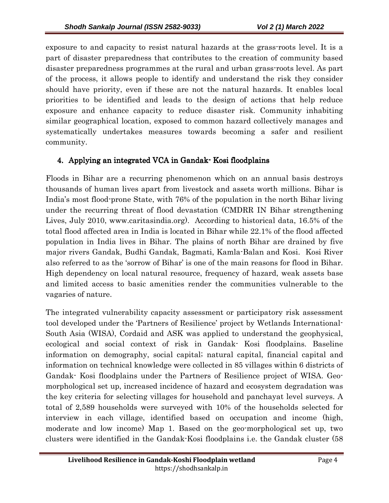exposure to and capacity to resist natural hazards at the grass-roots level. It is a part of disaster preparedness that contributes to the creation of community based disaster preparedness programmes at the rural and urban grass-roots level. As part of the process, it allows people to identify and understand the risk they consider should have priority, even if these are not the natural hazards. It enables local priorities to be identified and leads to the design of actions that help reduce exposure and enhance capacity to reduce disaster risk. Community inhabiting similar geographical location, exposed to common hazard collectively manages and systematically undertakes measures towards becoming a safer and resilient community.

## 4. Applying an integrated VCA in Gandak-Kosi floodplains

Floods in Bihar are a recurring phenomenon which on an annual basis destroys thousands of human lives apart from livestock and assets worth millions. Bihar is India's most flood-prone State, with 76% of the population in the north Bihar living under the recurring threat of flood devastation (CMDRR IN Bihar strengthening Lives, July 2010, www.caritasindia.org). According to historical data, 16.5% of the total flood affected area in India is located in Bihar while 22.1% of the flood affected population in India lives in Bihar. The plains of north Bihar are drained by five major rivers Gandak, Budhi Gandak, Bagmati, Kamla-Balan and Kosi. Kosi River also referred to as the 'sorrow of Bihar' is one of the main reasons for flood in Bihar. High dependency on local natural resource, frequency of hazard, weak assets base and limited access to basic amenities render the communities vulnerable to the vagaries of nature.

The integrated vulnerability capacity assessment or participatory risk assessment tool developed under the 'Partners of Resilience' project by Wetlands International-South Asia (WISA), Cordaid and ASK was applied to understand the geophysical, ecological and social context of risk in Gandak- Kosi floodplains. Baseline information on demography, social capital; natural capital, financial capital and information on technical knowledge were collected in 85 villages within 6 districts of Gandak- Kosi floodplains under the Partners of Resilience project of WISA. Geomorphological set up, increased incidence of hazard and ecosystem degradation was the key criteria for selecting villages for household and panchayat level surveys. A total of 2,589 households were surveyed with 10% of the households selected for interview in each village, identified based on occupation and income (high, moderate and low income) Map 1. Based on the geo-morphological set up, two clusters were identified in the Gandak-Kosi floodplains i.e. the Gandak cluster (58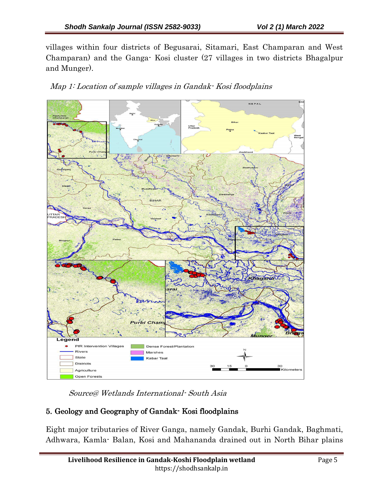villages within four districts of Begusarai, Sitamari, East Champaran and West Champaran) and the Ganga- Kosi cluster (27 villages in two districts Bhagalpur and Munger).





Source@ Wetlands International- South Asia

## 5. Geology and Geography of Gandak-Kosi floodplains

Eight major tributaries of River Ganga, namely Gandak, Burhi Gandak, Baghmati, Adhwara, Kamla- Balan, Kosi and Mahananda drained out in North Bihar plains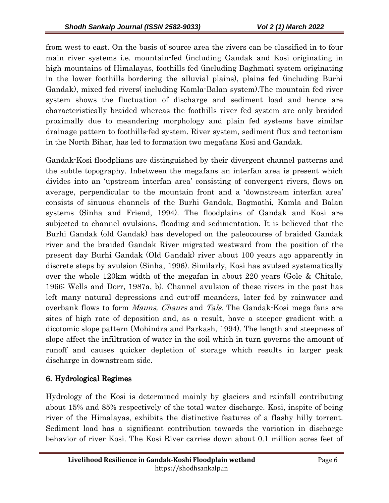from west to east. On the basis of source area the rivers can be classified in to four main river systems i.e. mountain-fed (including Gandak and Kosi originating in high mountains of Himalayas, foothills fed (including Baghmati system originating in the lower foothills bordering the alluvial plains), plains fed (including Burhi Gandak), mixed fed rivers( including Kamla-Balan system).The mountain fed river system shows the fluctuation of discharge and sediment load and hence are characteristically braided whereas the foothills river fed system are only braided proximally due to meandering morphology and plain fed systems have similar drainage pattern to foothills-fed system. River system, sediment flux and tectonism in the North Bihar, has led to formation two megafans Kosi and Gandak.

Gandak-Kosi floodplians are distinguished by their divergent channel patterns and the subtle topography. Inbetween the megafans an interfan area is present which divides into an 'upstream interfan area' consisting of convergent rivers, flows on average, perpendicular to the mountain front and a 'downstream interfan area' consists of sinuous channels of the Burhi Gandak, Bagmathi, Kamla and Balan systems (Sinha and Friend, 1994). The floodplains of Gandak and Kosi are subjected to channel avulsions, flooding and sedimentation. It is believed that the Burhi Gandak (old Gandak) has developed on the paleocourse of braided Gandak river and the braided Gandak River migrated westward from the position of the present day Burhi Gandak (Old Gandak) river about 100 years ago apparently in discrete steps by avulsion (Sinha, 1996). Similarly, Kosi has avulsed systematically over the whole 120km width of the megafan in about 220 years (Gole & Chitale, 1966; Wells and Dorr, 1987a, b). Channel avulsion of these rivers in the past has left many natural depressions and cut-off meanders, later fed by rainwater and overbank flows to form Mauns, Chaurs and Tals. The Gandak-Kosi mega fans are sites of high rate of deposition and, as a result, have a steeper gradient with a dicotomic slope pattern (Mohindra and Parkash, 1994). The length and steepness of slope affect the infiltration of water in the soil which in turn governs the amount of runoff and causes quicker depletion of storage which results in larger peak discharge in downstream side.

# 6. Hydrological Regimes

Hydrology of the Kosi is determined mainly by glaciers and rainfall contributing about 15% and 85% respectively of the total water discharge. Kosi, inspite of being river of the Himalayas, exhibits the distinctive features of a flashy hilly torrent. Sediment load has a significant contribution towards the variation in discharge behavior of river Kosi. The Kosi River carries down about 0.1 million acres feet of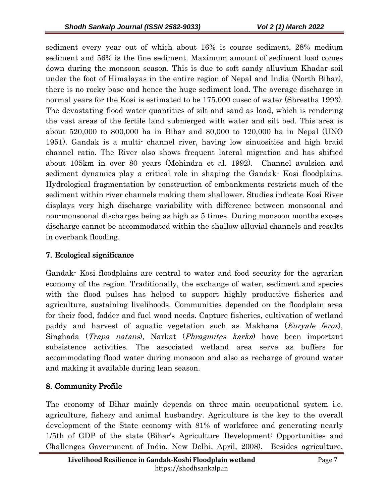sediment every year out of which about 16% is course sediment, 28% medium sediment and 56% is the fine sediment. Maximum amount of sediment load comes down during the monsoon season. This is due to soft sandy alluvium Khadar soil under the foot of Himalayas in the entire region of Nepal and India (North Bihar), there is no rocky base and hence the huge sediment load. The average discharge in normal years for the Kosi is estimated to be 175,000 cusec of water (Shrestha 1993). The devastating flood water quantities of silt and sand as load, which is rendering the vast areas of the fertile land submerged with water and silt bed. This area is about 520,000 to 800,000 ha in Bihar and 80,000 to 120,000 ha in Nepal (UNO 1951). Gandak is a multi- channel river, having low sinuosities and high braid channel ratio. The River also shows frequent lateral migration and has shifted about 105km in over 80 years (Mohindra et al. 1992). Channel avulsion and sediment dynamics play a critical role in shaping the Gandak- Kosi floodplains. Hydrological fragmentation by construction of embankments restricts much of the sediment within river channels making them shallower. Studies indicate Kosi River displays very high discharge variability with difference between monsoonal and non-monsoonal discharges being as high as 5 times. During monsoon months excess discharge cannot be accommodated within the shallow alluvial channels and results in overbank flooding.

## 7. Ecological significance

Gandak- Kosi floodplains are central to water and food security for the agrarian economy of the region. Traditionally, the exchange of water, sediment and species with the flood pulses has helped to support highly productive fisheries and agriculture, sustaining livelihoods. Communities depended on the floodplain area for their food, fodder and fuel wood needs. Capture fisheries, cultivation of wetland paddy and harvest of aquatic vegetation such as Makhana (Euryale ferox), Singhada (Trapa natans), Narkat (Phragmites karka) have been important subsistence activities. The associated wetland area serve as buffers for accommodating flood water during monsoon and also as recharge of ground water and making it available during lean season.

## 8. Community Profile

The economy of Bihar mainly depends on three main occupational system i.e. agriculture, fishery and animal husbandry. Agriculture is the key to the overall development of the State economy with 81% of workforce and generating nearly 1/5th of GDP of the state (Bihar's Agriculture Development: Opportunities and Challenges Government of India, New Delhi, April, 2008). Besides agriculture,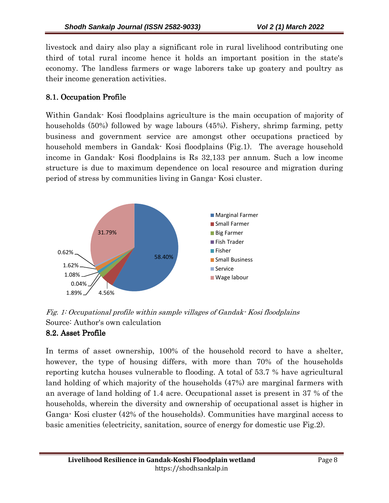livestock and dairy also play a significant role in rural livelihood contributing one third of total rural income hence it holds an important position in the state's economy. The landless farmers or wage laborers take up goatery and poultry as their income generation activities.

# 8.1. Occupation Profile

Within Gandak- Kosi floodplains agriculture is the main occupation of majority of households (50%) followed by wage labours (45%). Fishery, shrimp farming, petty business and government service are amongst other occupations practiced by household members in Gandak- Kosi floodplains (Fig.1). The average household income in Gandak- Kosi floodplains is Rs 32,133 per annum. Such a low income structure is due to maximum dependence on local resource and migration during period of stress by communities living in Ganga- Kosi cluster.



Fig. 1: Occupational profile within sample villages of Gandak- Kosi floodplains Source: Author's own calculation

## 8.2. Asset Profile

In terms of asset ownership, 100% of the household record to have a shelter, however, the type of housing differs, with more than 70% of the households reporting kutcha houses vulnerable to flooding. A total of 53.7 % have agricultural land holding of which majority of the households (47%) are marginal farmers with an average of land holding of 1.4 acre. Occupational asset is present in 37 % of the households, wherein the diversity and ownership of occupational asset is higher in Ganga- Kosi cluster (42% of the households). Communities have marginal access to basic amenities (electricity, sanitation, source of energy for domestic use Fig.2).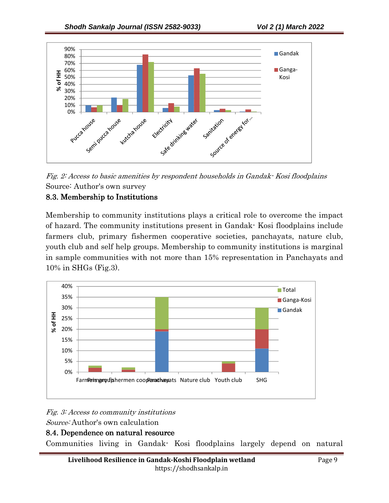

Fig. 2: Access to basic amenities by respondent households in Gandak- Kosi floodplains Source: Author's own survey

## 8.3. Membership to Institutions 8.3. Membership to Institutions

Membership to community institutions plays a critical role to overcome the impact of hazard. The community institutions present in Gandak- Kosi floodplains include farmers club, primary fishermen cooperative societies, panchayats, nature club, youth club and self help groups. Membership to community institutions is marginal in sample communities with not more than 15% representation in Panchayats and 10% in SHGs (Fig.3).



Fig. 3: Access to community institutions Source: Author's own calculation

## 8.4. Dependence on natural resource

Communities living in Gandak- Kosi floodplains largely depend on natural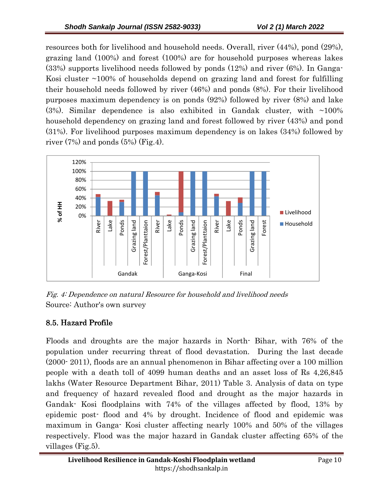resources both for livelihood and household needs. Overall, river (44%), pond (29%), grazing land (100%) and forest (100%) are for household purposes whereas lakes (33%) supports livelihood needs followed by ponds (12%) and river (6%). In Ganga-Kosi cluster ~100% of households depend on grazing land and forest for fulfilling their household needs followed by river (46%) and ponds (8%). For their livelihood purposes maximum dependency is on ponds (92%) followed by river (8%) and lake  $(3\%)$ . Similar dependence is also exhibited in Gandak cluster, with  $\sim 100\%$ household dependency on grazing land and forest followed by river (43%) and pond (31%). For livelihood purposes maximum dependency is on lakes (34%) followed by river  $(7%)$  and ponds  $(5%)$  (Fig.4).



Fig. 4: Dependence on natural Resource for household and livelihood needs Source: Author's own survey

# 8.5. Hazard Profile

Floods and droughts are the major hazards in North- Bihar, with 76% of the population under recurring threat of flood devastation. During the last decade (2000- 2011), floods are an annual phenomenon in Bihar affecting over a 100 million people with a death toll of 4099 human deaths and an asset loss of Rs 4,26,845 lakhs (Water Resource Department Bihar, 2011) Table 3. Analysis of data on type and frequency of hazard revealed flood and drought as the major hazards in Gandak- Kosi floodplains with 74% of the villages affected by flood, 13% by epidemic post- flood and 4% by drought. Incidence of flood and epidemic was maximum in Ganga- Kosi cluster affecting nearly 100% and 50% of the villages respectively. Flood was the major hazard in Gandak cluster affecting 65% of the villages (Fig.5).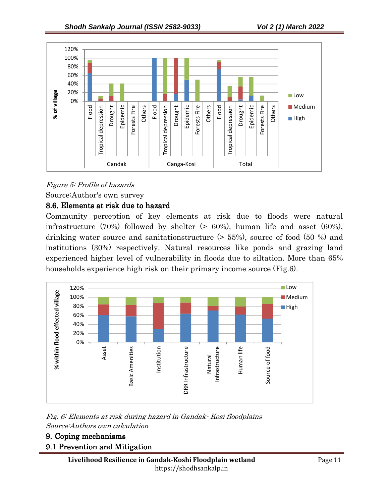

Figure 5: Profile of hazards

Source:Author's own survey

#### 8.6. Elements at risk due to hazard

Community perception of key elements at risk due to floods were natural infrastructure (70%) followed by shelter  $(50\%)$ , human life and asset (60%), drinking water source and sanitationstructure (> 55%), source of food (50 %) and institutions (30%) respectively. Natural resources like ponds and grazing land experienced higher level of vulnerability in floods due to siltation. More than 65% households experience high risk on their primary income source (Fig.6).



#### Fig. 6: Elements at risk during hazard in Gandak- Kosi floodplains Source:Authors own calculation

## 9. Coping mechanisms

#### 9.1 Prevention and Mitigation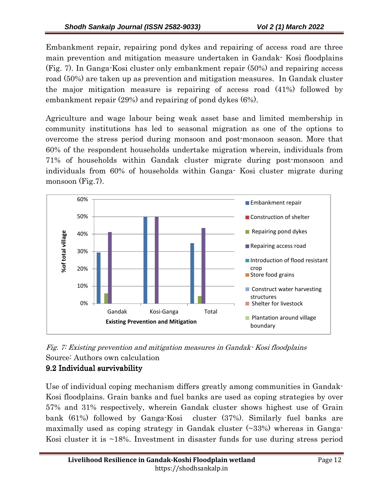Embankment repair, repairing pond dykes and repairing of access road are three main prevention and mitigation measure undertaken in Gandak- Kosi floodplains (Fig. 7). In Ganga-Kosi cluster only embankment repair (50%) and repairing access road (50%) are taken up as prevention and mitigation measures. In Gandak cluster the major mitigation measure is repairing of access road (41%) followed by embankment repair (29%) and repairing of pond dykes (6%).

Agriculture and wage labour being weak asset base and limited membership in community institutions has led to seasonal migration as one of the options to overcome the stress period during monsoon and post-monsoon season. More that 60% of the respondent households undertake migration wherein, individuals from 71% of households within Gandak cluster migrate during post-monsoon and individuals from 60% of households within Ganga- Kosi cluster migrate during monsoon (Fig.7).





## 9.2 Individual survivability

Use of individual coping mechanism differs greatly among communities in Gandak-Kosi floodplains. Grain banks and fuel banks are used as coping strategies by over 57% and 31% respectively, wherein Gandak cluster shows highest use of Grain bank (61%) followed by Ganga-Kosi cluster (37%). Similarly fuel banks are maximally used as coping strategy in Gandak cluster (~33%) whereas in Ganga-Kosi cluster it is ~18%. Investment in disaster funds for use during stress period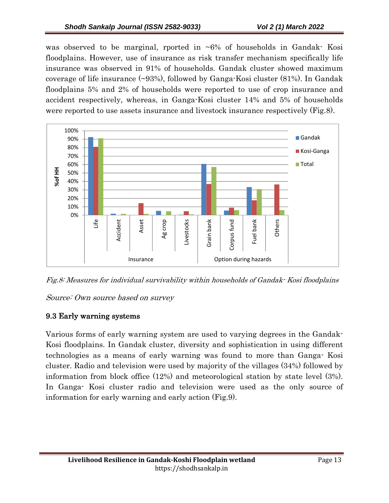was observed to be marginal, rported in  $\sim 6\%$  of households in Gandak- Kosi floodplains. However, use of insurance as risk transfer mechanism specifically life insurance was observed in 91% of households. Gandak cluster showed maximum coverage of life insurance (~93%), followed by Ganga-Kosi cluster (81%). In Gandak floodplains 5% and 2% of households were reported to use of crop insurance and accident respectively, whereas, in Ganga-Kosi cluster 14% and 5% of households were reported to use assets insurance and livestock insurance respectively (Fig.8).



Fig.8: Measures for individual survivability within households of Gandak- Kosi floodplains

Source: Own source based on survey

## 9.3 Early warning systems

Various forms of early warning system are used to varying degrees in the Gandak-Kosi floodplains. In Gandak cluster, diversity and sophistication in using different technologies as a means of early warning was found to more than Ganga- Kosi cluster. Radio and television were used by majority of the villages (34%) followed by information from block office (12%) and meteorological station by state level (3%). In Ganga- Kosi cluster radio and television were used as the only source of information for early warning and early action (Fig.9).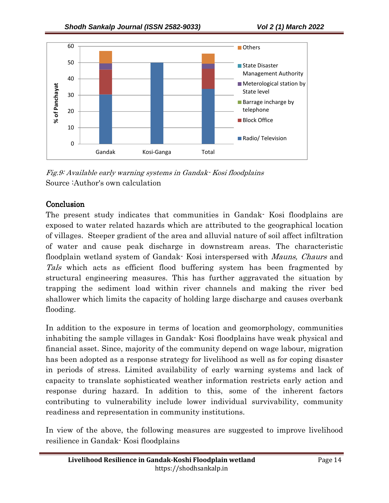

Fig.9: Available early warning systems in Gandak- Kosi floodplains Source :Author's own calculation

#### Conclusion

The present study indicates that communities in Gandak- Kosi floodplains are exposed to water related hazards which are attributed to the geographical location of villages. Steeper gradient of the area and alluvial nature of soil affect infiltration of water and cause peak discharge in downstream areas. The characteristic floodplain wetland system of Gandak- Kosi interspersed with *Mauns, Chaurs* and Tals which acts as efficient flood buffering system has been fragmented by structural engineering measures. This has further aggravated the situation by trapping the sediment load within river channels and making the river bed shallower which limits the capacity of holding large discharge and causes overbank flooding.

In addition to the exposure in terms of location and geomorphology, communities inhabiting the sample villages in Gandak- Kosi floodplains have weak physical and financial asset. Since, majority of the community depend on wage labour, migration has been adopted as a response strategy for livelihood as well as for coping disaster in periods of stress. Limited availability of early warning systems and lack of capacity to translate sophisticated weather information restricts early action and response during hazard. In addition to this, some of the inherent factors contributing to vulnerability include lower individual survivability, community readiness and representation in community institutions.

In view of the above, the following measures are suggested to improve livelihood resilience in Gandak- Kosi floodplains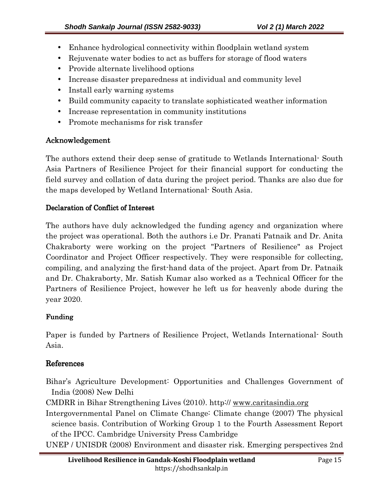- Enhance hydrological connectivity within floodplain wetland system
- Rejuvenate water bodies to act as buffers for storage of flood waters
- Provide alternate livelihood options
- Increase disaster preparedness at individual and community level
- Install early warning systems
- Build community capacity to translate sophisticated weather information
- Increase representation in community institutions
- Promote mechanisms for risk transfer

## Acknowledgement

The authors extend their deep sense of gratitude to Wetlands International- South Asia Partners of Resilience Project for their financial support for conducting the field survey and collation of data during the project period. Thanks are also due for the maps developed by Wetland International- South Asia.

#### Declaration of Conflict of Interest

The authors have duly acknowledged the funding agency and organization where the project was operational. Both the authors i.e Dr. Pranati Patnaik and Dr. Anita Chakraborty were working on the project "Partners of Resilience" as Project Coordinator and Project Officer respectively. They were responsible for collecting, compiling, and analyzing the first-hand data of the project. Apart from Dr. Patnaik and Dr. Chakraborty, Mr. Satish Kumar also worked as a Technical Officer for the Partners of Resilience Project, however he left us for heavenly abode during the year 2020.

#### Funding Funding

Paper is funded by Partners of Resilience Project, Wetlands International- South Asia.

## References

- Bihar's Agriculture Development: Opportunities and Challenges Government of India (2008) New Delhi
- CMDRR in Bihar Strengthening Lives (2010). http:// www.caritasindia.org
- Intergovernmental Panel on Climate Change: Climate change (2007) The physical science basis. Contribution of Working Group 1 to the Fourth Assessment Report of the IPCC. Cambridge University Press Cambridge
- UNEP / UNISDR (2008) Environment and disaster risk. Emerging perspectives 2nd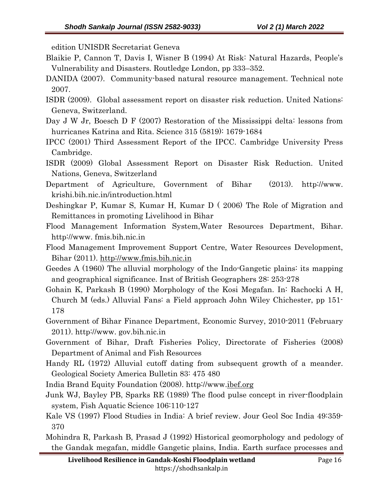edition UNISDR Secretariat Geneva

- Blaikie P, Cannon T, Davis I, Wisner B (1994) At Risk: Natural Hazards, People's Vulnerability and Disasters. Routledge London, pp 333–352.
- DANIDA (2007). Community-based natural resource management. Technical note 2007.
- ISDR (2009). Global assessment report on disaster risk reduction. United Nations: Geneva, Switzerland.
- Day J W Jr, Boesch D F (2007) Restoration of the Mississippi delta: lessons from hurricanes Katrina and Rita. Science 315 (5819): 1679-1684
- IPCC (2001) Third Assessment Report of the IPCC. Cambridge University Press Cambridge.
- ISDR (2009) Global Assessment Report on Disaster Risk Reduction. United Nations, Geneva, Switzerland
- Department of Agriculture, Government of Bihar (2013). http://www. krishi.bih.nic.in/introduction.html
- Deshingkar P, Kumar S, Kumar H, Kumar D ( 2006) The Role of Migration and Remittances in promoting Livelihood in Bihar
- Flood Management Information System,Water Resources Department, Bihar. http://www. fmis.bih.nic.in
- Flood Management Improvement Support Centre, Water Resources Development, Bihar (2011). http://www.fmis.bih.nic.in
- Geedes A (1960) The alluvial morphology of the Indo-Gangetic plains: its mapping and geographical significance. Inst of British Geographers 28: 253-278
- Gohain K, Parkash B (1990) Morphology of the Kosi Megafan. In: Rachocki A H, Church M (eds.) Alluvial Fans: a Field approach John Wiley Chichester, pp 151- 178
- Government of Bihar Finance Department, Economic Survey, 2010-2011 (February 2011). http://www. gov.bih.nic.in
- Government of Bihar, Draft Fisheries Policy, Directorate of Fisheries (2008) Department of Animal and Fish Resources
- Handy RL (1972) Alluvial cutoff dating from subsequent growth of a meander. Geological Society America Bulletin 83: 475 480
- India Brand Equity Foundation (2008). http://www.ibef.org
- Junk WJ, Bayley PB, Sparks RE (1989) The flood pulse concept in river-floodplain system, Fish Aquatic Science 106:110-127
- Kale VS (1997) Flood Studies in India: A brief review. Jour Geol Soc India 49:359- 370
- Mohindra R, Parkash B, Prasad J (1992) Historical geomorphology and pedology of the Gandak megafan, middle Gangetic plains, India. Earth surface processes and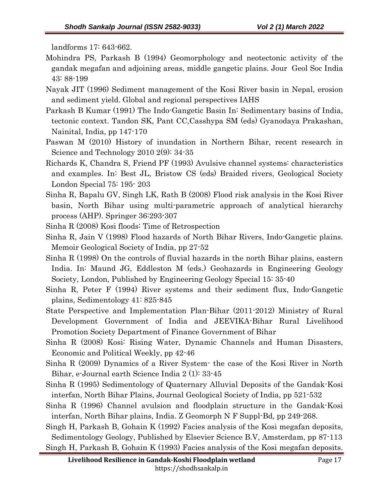landforms 17: 643-662.

- Mohindra PS, Parkash B (1994) Geomorphology and neotectonic activity of the gandak megafan and adjoining areas, middle gangetic plains. Jour Geol Soc India 43: 88-199
- Nayak JIT (1996) Sediment management of the Kosi River basin in Nepal, erosion and sediment yield. Global and regional perspectives IAHS
- Parkash B Kumar (1991) The Indo-Gangetic Basin In: Sedimentary basins of India, tectonic context. Tandon SK, Pant CC,Casshypa SM (eds) Gyanodaya Prakashan, Nainital, India, pp147-170
- Paswan M (2010) History of inundation in Northern Bihar, recent research in Science and Technology 2010 2(9): 34-35
- Richards K, Chandra S, Friend PF (1993) Avulsive channel systems: characteristics and examples. In: Best JL, Bristow CS (eds) Braided rivers, Geological Society London Special 75: 195- 203
- Sinha R, Bapalu GV, Singh LK, Rath B (2008) Flood risk analysis in the Kosi River basin, North Bihar using multi-parametric approach of analytical hierarchy process (AHP). Springer 36:293-307
- Sinha R (2008) Kosi floods: Time of Retrospection
- Sinha R, Jain V (1998) Flood hazards of North Bihar Rivers, Indo-Gangetic plains. Memoir Geological Society of India, pp 27-52
- Sinha R (1998) On the controls of fluvial hazards in the north Bihar plains, eastern India. In: Maund JG, Eddleston M (eds.) Geohazards in Engineering Geology Society, London, Published by Engineering Geology Special 15: 35-40
- Sinha R, Peter F (1994) River systems and their sediment flux, Indo-Gangetic plains, Sedimentology 41: 825-845
- State Perspective and Implementation Plan-Bihar (2011-2012) Ministry of Rural Development Government of India and JEEVIKA-Bihar Rural Livelihood Promotion Society Department of Finance Government of Bihar
- Sinha R (2008) Kosi: Rising Water, Dynamic Channels and Human Disasters, Economic and Political Weekly, pp 42-46
- Sinha R (2009) Dynamics of a River System- the case of the Kosi River in North Bihar, e-Journal earth Science India 2 (1): 33-45
- Sinha R (1995) Sedimentology of Quaternary Alluvial Deposits of the Gandak-Kosi interfan, North Bihar Plains, Journal Geological Society of India, pp 521-532
- Sinha R (1996) Channel avulsion and floodplain structure in the Gandak-Kosi interfan, North Bihar plains, India. Z Geomorph N F Suppl-Bd, pp 249-268.

Singh H, Parkash B, Gohain K (1992) Facies analysis of the Kosi megafan deposits, Sedimentology Geology, Published by Elsevier Science B.V, Amsterdam, pp 87-113 Singh H, Parkash B, Gohain K (1993) Facies analysis of the Kosi megafan deposits.